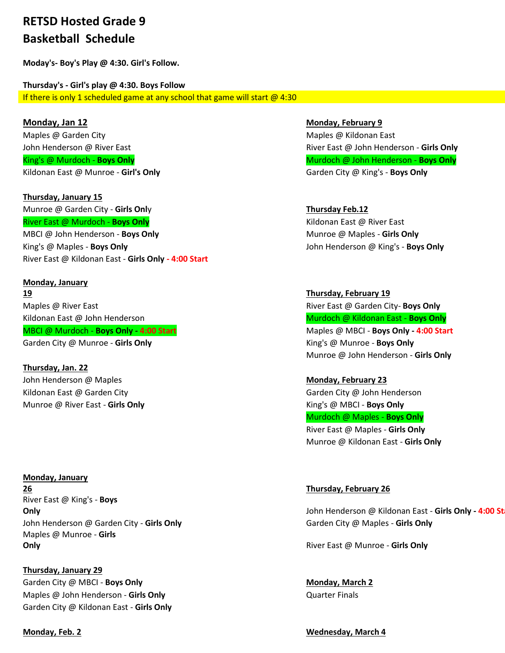## **RETSD Hosted Grade 9 Basketball Schedule**

**Moday's- Boy's Play @ 4:30. Girl's Follow.**

**Thursday's - Girl's play @ 4:30. Boys Follow** If there is only 1 scheduled game at any school that game will start  $@$  4:30

**Monday, Jan 12 Monday, February 9** Maples @ Garden City **Maples @ Kildonan East** Maples @ Kildonan East Kildonan East @ Munroe - Girl's Only **Garden City @ King's** - Boys Only

**Thursday, January 15** Munroe @ Garden City - **Girls Onl**y **Thursday Feb.12 River East @ Murdoch - Boys Only Kildonan East @ River East @ River East @ River East** MBCI @ John Henderson - **Boys Only** Munroe @ Maples - Girls Only King's @ Maples - **Boys Only** John Henderson @ King's - **Boys Only** River East @ Kildonan East - **Girls Only - 4:00 Start**

**Monday, January 19 Thursday, February 19** Maples @ River East River East @ Garden City- **Boys Only** Kildonan East @ John Henderson **Murdoch @ Kildonan East - Boys Only Murdoch @ Kildonan East - Boys Only** MBCI @ Murdoch - **Boys Only - 4:00 Start** Maples @ MBCI - **Boys Only - 4:00 Start** Garden City @ Munroe - **Girls Only Community Control Control City Connect Act Act Only** King's @ Munroe - **Boys Only** 

**Thursday, Jan. 22** John Henderson @ Maples **Monday, February 23** Kildonan East @ Garden City Garden City Garden City @ John Henderson Munroe @ River East - **Girls Only** King's @ MBCI - **Boys Only**

**Monday, January 26 Thursday, February 26** River East @ King's - **Boys**  John Henderson @ Garden City - **Girls Only** Garden City **Garden City @ Maples - Girls Only** Maples @ Munroe - **Girls Only** River East @ Munroe - **Girls Only**

**Thursday, January 29** Garden City @ MBCI - **Boys Only Allentic Contract Contract Conducts Conducts Monday, March 2** Maples @ John Henderson - **Girls Only Constanting the Contract Constant Constanting Constant Constant Constant Constant Constant Constant Constant Constant Constant Constant Constant Constant Constant Constant Constant C** Garden City @ Kildonan East - **Girls Only**

John Henderson @ River East River East @ John Henderson - **Girls Only** King's @ Murdoch - **Boys Only Multimediate Contract Contract Constant Constant Murdoch @ John Henderson - <b>Boys Only** 

Munroe @ John Henderson - **Girls Only**

Murdoch @ Maples - **Boys Only** River East @ Maples - **Girls Only** Munroe @ Kildonan East - **Girls Only**

**Only Good Construction Conducts Are also constructed by Conducts Are Series and Starting Conducts Are Series Only - 4:00 Starting Conducts Are Series Are Series Are Series Are Series Are Series Are Series Are Series Are S** 

**Monday, Feb. 2 Wednesday, March 4**